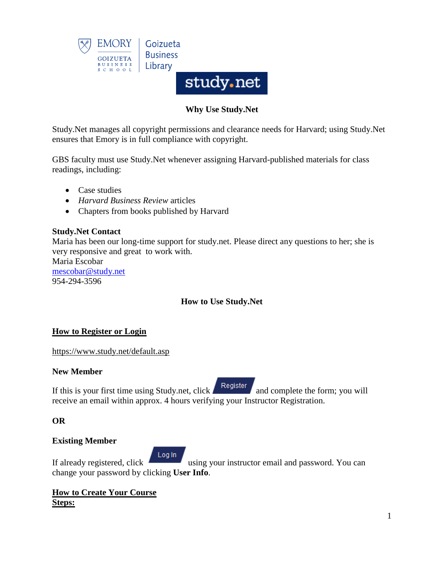

# **Why Use Study.Net**

Study.Net manages all copyright permissions and clearance needs for Harvard; using Study.Net ensures that Emory is in full compliance with copyright.

GBS faculty must use Study.Net whenever assigning Harvard-published materials for class readings, including:

- Case studies
- *Harvard Business Review* articles
- Chapters from books published by Harvard

#### **Study.Net Contact**

Maria has been our long-time support for study.net. Please direct any questions to her; she is very responsive and great to work with.

Maria Escobar [mescobar@study.net](mailto:mescobar@study.net) 954-294-3596

# **How to Use Study.Net**

## **How to Register or Login**

<https://www.study.net/default.asp>

#### **New Member**

If this is your first time using Study.net, click  $\left\{ \frac{\text{Register}}{\text{and complete the form; you will }\right\}$ receive an email within approx. 4 hours verifying your Instructor Registration.

#### **OR**

#### **Existing Member**

Log In If already registered, click using your instructor email and password. You can change your password by clicking **User Info**.

## **How to Create Your Course Steps:**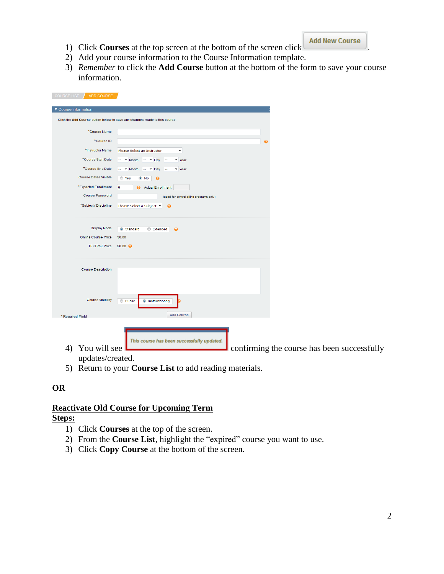- 1) Click **Courses** at the top screen at the bottom of the screen click .
- 2) Add your course information to the Course Information template.
- 3) *Remember* to click the **Add Course** button at the bottom of the form to save your course information.

|                                                                             | Click the Add Course button below to save any changes made to this course. |   |  |
|-----------------------------------------------------------------------------|----------------------------------------------------------------------------|---|--|
| *Course Name                                                                |                                                                            |   |  |
| *Course ID                                                                  |                                                                            | ℯ |  |
| *Instructor Name                                                            | Please Select an Instructor<br>$\overline{\phantom{a}}$                    |   |  |
| *Course Start Date                                                          | $ \bullet$ Month $ \bullet$ Day $-$<br>v Year                              |   |  |
| *Course End Date                                                            | $ \bullet$ Month $ \bullet$ Day<br>$\blacktriangleright$ Year<br>$\sim$    |   |  |
| <b>Course Dates Visible</b>                                                 | ◎ Yes<br>$\odot$ No<br>- 0                                                 |   |  |
| *Expected Enrollment                                                        | $\overline{0}$<br>Actual Enrollment                                        |   |  |
| <b>Course Password</b>                                                      | (used for central billing programs only)                                   |   |  |
| *Subject / Discipline                                                       | Please Select a Subject ▼<br>$\boldsymbol{\omega}$                         |   |  |
| <b>Display Mode</b><br><b>Online Course Price</b><br>TEXTPAK Price \$0.00 @ | Standard<br>Extended<br>$\bullet$<br>\$0.00                                |   |  |
| <b>Course Description</b>                                                   |                                                                            |   |  |
| <b>Course Visibility</b>                                                    | <b>Public</b><br><sup>O</sup> Instructor-only<br><b>Add Course</b>         |   |  |
| * Required Field                                                            |                                                                            |   |  |
|                                                                             | This course has been successfully updated.                                 |   |  |

updates/created.

5) Return to your **Course List** to add reading materials.

## **OR**

## **Reactivate Old Course for Upcoming Term Steps:**

- 1) Click **Courses** at the top of the screen.
- 2) From the **Course List**, highlight the "expired" course you want to use.
- 3) Click **Copy Course** at the bottom of the screen.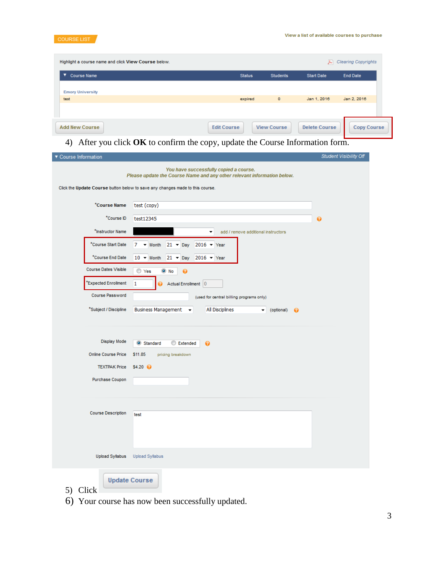

| Highlight a course name and click View Course below. |                    |                    | A)                   | <b>Clearing Copyrights</b> |
|------------------------------------------------------|--------------------|--------------------|----------------------|----------------------------|
| ▼<br><b>Course Name</b>                              | <b>Status</b>      | <b>Students</b>    | <b>Start Date</b>    | End Date                   |
| <b>Emory University</b><br>test                      | expired            | $\circ$            | Jan 1, 2016          | Jan 2, 2016                |
|                                                      |                    |                    |                      |                            |
| <b>Add New Course</b>                                | <b>Edit Course</b> | <b>View Course</b> | <b>Delete Course</b> | Copy Course                |

# 4) After you click **OK** to confirm the copy, update the Course Information form.

| ▼ Course Information        |                                                                                                                                                                                                    | <b>Student Visibility Off</b> |
|-----------------------------|----------------------------------------------------------------------------------------------------------------------------------------------------------------------------------------------------|-------------------------------|
|                             | You have successfully copied a course.<br>Please update the Course Name and any other relevant information below.<br>Click the Update Course button below to save any changes made to this course. |                               |
|                             |                                                                                                                                                                                                    |                               |
| *Course Name                | test (copy)                                                                                                                                                                                        |                               |
| *Course ID                  | test12345                                                                                                                                                                                          | ❷                             |
| *Instructor Name            | add / remove additional instructors<br>▼                                                                                                                                                           |                               |
| *Course Start Date          | 7<br>$\blacktriangleright$ Month<br>$21 - Day$<br>$2016 - \text{Year}$                                                                                                                             |                               |
| *Course End Date            | $21 - Day$ 2016 - Year<br>$10 - M$ onth                                                                                                                                                            |                               |
| <b>Course Dates Visible</b> | ◯ Yes<br>$\odot$ No<br>0                                                                                                                                                                           |                               |
| *Expected Enrollment        | 1<br>Actual Enrollment 0<br>ø                                                                                                                                                                      |                               |
| <b>Course Password</b>      | (used for central billing programs only)                                                                                                                                                           |                               |
| *Subject / Discipline       | <b>Business Management</b><br>All Disciplines<br>(optional) @<br>▾<br>▼                                                                                                                            |                               |
|                             |                                                                                                                                                                                                    |                               |
| <b>Display Mode</b>         |                                                                                                                                                                                                    |                               |
| Online Course Price         | Standard<br>Extended<br>0<br>\$11.85<br>pricing breakdown                                                                                                                                          |                               |
| <b>TEXTPAK Price</b>        | $$4.20$ $\odot$                                                                                                                                                                                    |                               |
| Purchase Coupon             |                                                                                                                                                                                                    |                               |
|                             |                                                                                                                                                                                                    |                               |
|                             |                                                                                                                                                                                                    |                               |
| <b>Course Description</b>   | test                                                                                                                                                                                               |                               |
|                             |                                                                                                                                                                                                    |                               |
|                             |                                                                                                                                                                                                    |                               |
| <b>Upload Syllabus</b>      | <b>Upload Syllabus</b>                                                                                                                                                                             |                               |
|                             |                                                                                                                                                                                                    |                               |
| 5) Click                    | <b>Update Course</b>                                                                                                                                                                               |                               |

6) Your course has now been successfully updated.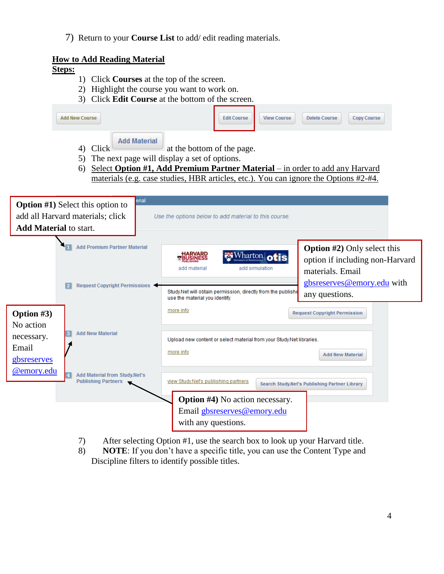7) Return to your **Course List** to add/ edit reading materials.

# **How to Add Reading Material**

# **Steps:**

- 1) Click **Courses** at the top of the screen.
- 2) Highlight the course you want to work on.
- 3) Click **Edit Course** at the bottom of the screen.

|                                                               | <b>Add New Course</b> |                                                                                      |                        | <b>Edit Course</b>                                                                                                                                                                                 | <b>View Course</b>                            | <b>Delete Course</b>                                           | <b>Copy Course</b>                                                                                  |  |
|---------------------------------------------------------------|-----------------------|--------------------------------------------------------------------------------------|------------------------|----------------------------------------------------------------------------------------------------------------------------------------------------------------------------------------------------|-----------------------------------------------|----------------------------------------------------------------|-----------------------------------------------------------------------------------------------------|--|
|                                                               | 5)<br>6)              | <b>Add Material</b><br>4) Click<br>The next page will display a set of options.      |                        | at the bottom of the page.<br>Select Option #1, Add Premium Partner Material – in order to add any Harvard<br>materials (e.g. case studies, HBR articles, etc.). You can ignore the Options #2-#4. |                                               |                                                                |                                                                                                     |  |
| <b>Add Material to start.</b>                                 |                       | erial<br><b>Option #1)</b> Select this option to<br>add all Harvard materials; click |                        | Use the options below to add material to this course.                                                                                                                                              |                                               |                                                                |                                                                                                     |  |
|                                                               |                       | <b>Add Premium Partner Material</b><br>Request Copyright Permissions                 |                        | add material<br>Study.Net will obtain permission, directly from the publishe<br>use the material you identify.                                                                                     | Wharton otis<br>add simulation                | materials. Email<br>any questions.                             | <b>Option #2)</b> Only select this<br>option if including non-Harvard<br>gbsreserves@emory.edu with |  |
| Option #3)<br>No action<br>necessary.<br>Email<br>gbsreserves |                       | <b>Add New Material</b>                                                              | more info<br>more info | Upload new content or select material from your Study.Net libraries.                                                                                                                               |                                               | <b>Request Copyright Permission</b><br><b>Add New Material</b> |                                                                                                     |  |
| @emory.edu                                                    |                       | <b>Add Material from Study.Net's</b><br><b>Publishing Partners</b>                   |                        | view Study. Net's publishing partners<br><b>Option #4)</b> No action necessary.<br>Email gbsreserves@emory.edu                                                                                     | Search Study.Net's Publishing Partner Library |                                                                |                                                                                                     |  |
|                                                               |                       |                                                                                      |                        | with any questions.                                                                                                                                                                                |                                               |                                                                |                                                                                                     |  |

- 7) After selecting Option #1, use the search box to look up your Harvard title.
- 8) **NOTE**: If you don't have a specific title, you can use the Content Type and Discipline filters to identify possible titles.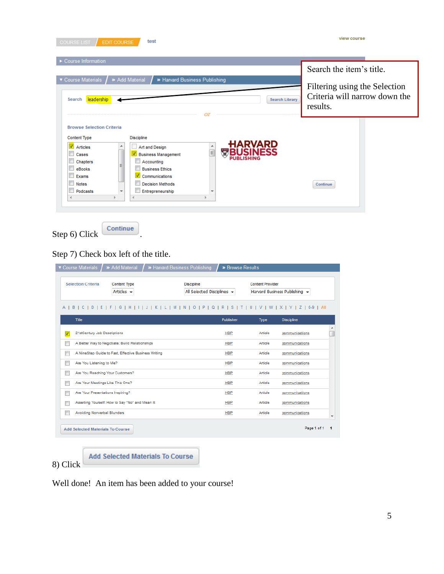| EDIT COURSE<br>test<br><b>COURSE LIST</b>                                                                                                                                                                                                                                                                                                                                                                                           | view course                                                                                            |
|-------------------------------------------------------------------------------------------------------------------------------------------------------------------------------------------------------------------------------------------------------------------------------------------------------------------------------------------------------------------------------------------------------------------------------------|--------------------------------------------------------------------------------------------------------|
| ► Course Information<br>▼ Course Materials<br>» Add Material<br>>> Harvard Business Publishing<br>leadership<br><b>Search Library</b><br>Search<br>Ωī                                                                                                                                                                                                                                                                               | Search the item's title.<br>Filtering using the Selection<br>Criteria will narrow down the<br>results. |
| <b>Browse Selection Criteria</b><br><b>Discipline</b><br><b>Content Type</b><br><b>ARVARD</b><br>Articles<br>٠<br>Art and Design<br>$\overline{\mathbf{u}}$<br>$\equiv$<br><b>Business Management</b><br>Cases<br>Accounting<br>Chapters<br><b>Business Ethics</b><br>eBooks<br>$\triangledown$ Communications<br>Exams<br><b>Decision Methods</b><br><b>Notes</b><br>Entrepreneurship<br>Podcasts<br>$\overline{\phantom{a}}$<br>4 | Continue                                                                                               |

Step 6) Click  $\boxed{\text{Continue}}$ 

Step 7) Check box left of the title.

| ▼ Course Materials<br>» Add Material                                                                                      | > Harvard Business Publishing                   | » Browse Results |                         |                               |
|---------------------------------------------------------------------------------------------------------------------------|-------------------------------------------------|------------------|-------------------------|-------------------------------|
| <b>Content Type</b><br><b>Selection Criteria</b><br>Articles $\div$                                                       | <b>Discipline</b><br>All Selected Disciplines v |                  | <b>Content Provider</b> | Harvard Business Publishing - |
| D   E   F   G   H   I   J   K   L   M   N   O   P   Q   R   S   T   U   V   W   X   Y   Z   0-9   All<br>A<br><b>BICI</b> |                                                 |                  |                         |                               |
| Title                                                                                                                     |                                                 | Publisher        | Type                    | <b>Discipline</b>             |
| 21stCentury Job Descriptions<br>v                                                                                         |                                                 | <b>HBP</b>       | Article                 | communications                |
| Г<br>A Better Way to Negotiate: Build Relationships                                                                       |                                                 | <b>HBP</b>       | Article                 | communications                |
| П<br>A NineStep Guide to Fast, Effective Business Writing                                                                 |                                                 | <b>HBP</b>       | Article                 | communications                |
| Are You Listening to Me?                                                                                                  |                                                 | <b>HBP</b>       | Article                 | communications                |
| Are You Reaching Your Customers?                                                                                          |                                                 | <b>HBP</b>       | Article                 | communications                |
| Are Your Meetings Like This One?                                                                                          |                                                 | <b>HBP</b>       | Article                 | communications                |
| Are Your Presentations Inspiring?<br>┍                                                                                    |                                                 | <b>HBP</b>       | Article                 | communications                |
| Asserting Yourself: How to Say "No" and Mean It                                                                           |                                                 | <b>HBP</b>       | Article                 | communications                |
| <b>Avoiding Nonverbal Blunders</b>                                                                                        |                                                 | <b>HBP</b>       | Article                 | communications                |
| <b>Add Selected Materials To Course</b>                                                                                   |                                                 |                  |                         | Page 1 of 1                   |
| <b>Add Selected Materials To Course</b><br>3) Click                                                                       |                                                 |                  |                         |                               |

8) Click  $\Box$ 

Well done! An item has been added to your course!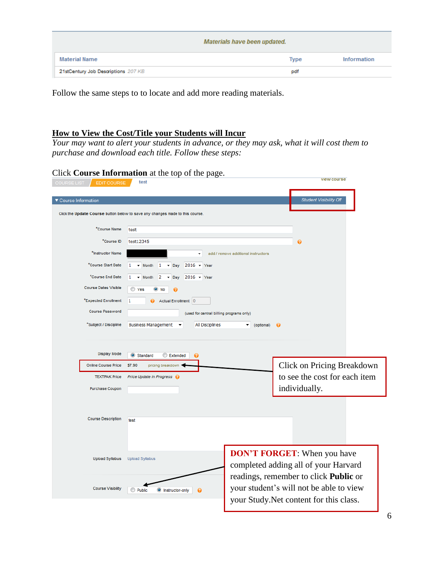|                                     | Materials have been updated. |             |
|-------------------------------------|------------------------------|-------------|
| <b>Material Name</b>                | <b>Type</b>                  | Information |
| 21stCentury Job Descriptions 207 KB | pdf                          |             |

Follow the same steps to to locate and add more reading materials.

#### **How to View the Cost/Title your Students will Incur**

*Your may want to alert your students in advance, or they may ask, what it will cost them to purchase and download each title. Follow these steps:*

# Click **Course Information** at the top of the page.

| <b>COURSE LIST</b><br><b>EDIT COURSE</b> | test                                                                                                  |                                     | view course                                                                        |
|------------------------------------------|-------------------------------------------------------------------------------------------------------|-------------------------------------|------------------------------------------------------------------------------------|
| ▼ Course Information                     |                                                                                                       |                                     | <b>Student Visibility Off</b>                                                      |
|                                          | Click the Update Course button below to save any changes made to this course.                         |                                     |                                                                                    |
| *Course Name                             | test                                                                                                  |                                     |                                                                                    |
| *Course ID                               | test12345                                                                                             |                                     | 0                                                                                  |
| *Instructor Name                         | ۰                                                                                                     | add / remove additional instructors |                                                                                    |
| *Course Start Date                       | $2016 - \text{Year}$<br>1<br>$\blacktriangleright$ Month<br>$\mathbf{1}$<br>$\blacktriangleright$ Day |                                     |                                                                                    |
| *Course End Date                         | $2016 - \text{Year}$<br>1<br>2<br>$\blacktriangleright$ Month<br>Day                                  |                                     |                                                                                    |
| <b>Course Dates Visible</b>              | ◯ Yes<br>$\odot$ No<br>0                                                                              |                                     |                                                                                    |
| *Expected Enrollment                     | Actual Enrollment 0<br>1                                                                              |                                     |                                                                                    |
| <b>Course Password</b>                   | (used for central billing programs only)                                                              |                                     |                                                                                    |
| *Subject / Discipline                    | <b>Business Management</b><br>All Disciplines                                                         | (optional) <sup>O</sup><br>▼        |                                                                                    |
|                                          |                                                                                                       |                                     |                                                                                    |
| <b>Display Mode</b>                      | Standard<br>Extended<br>ฉ                                                                             |                                     |                                                                                    |
| <b>Online Course Price</b>               | \$7.90<br>pricing breakdown                                                                           |                                     | Click on Pricing Breakdown                                                         |
| <b>TEXTPAK Price</b>                     | Price Update in Progress @                                                                            |                                     | to see the cost for each item                                                      |
| Purchase Coupon                          |                                                                                                       |                                     | individually.                                                                      |
|                                          |                                                                                                       |                                     |                                                                                    |
| <b>Course Description</b>                | test                                                                                                  |                                     |                                                                                    |
|                                          |                                                                                                       |                                     |                                                                                    |
|                                          |                                                                                                       |                                     |                                                                                    |
| <b>Upload Syllabus</b>                   | <b>Upload Syllabus</b>                                                                                |                                     | <b>DON'T FORGET:</b> When you have                                                 |
|                                          |                                                                                                       |                                     | completed adding all of your Harvard                                               |
| <b>Course Visibility</b>                 |                                                                                                       |                                     | readings, remember to click Public or                                              |
|                                          | <b>Public</b><br><b>O</b> Instructor-only<br>ℯ                                                        |                                     | your student's will not be able to view<br>your Study. Net content for this class. |
|                                          |                                                                                                       |                                     |                                                                                    |